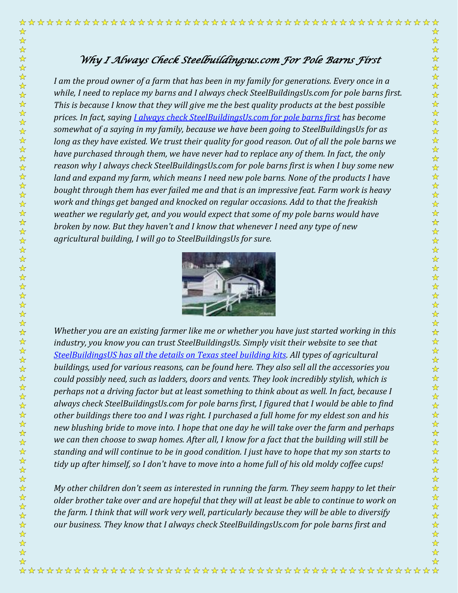## *Why I Always Check Steelbuildingsus.com For Pole Barns First*

☆

 $\frac{\lambda}{\lambda}$ 

 $\frac{1}{\sqrt{2}}$  $\frac{1}{\mathbf{k}}$ 

☆☆☆☆☆☆☆☆☆☆☆☆☆☆☆☆☆☆☆☆☆☆☆☆☆☆☆☆☆☆☆☆

☆☆☆☆☆☆☆☆☆☆☆

2岁好好?

☆☆☆☆☆☆☆☆☆☆

 $\frac{1}{\sqrt{2}}$ 

I am the proud owner of a farm that has been in my family for generations. Every once in a *while, I need to replace my barns and I always check SteelBuildingsUs.com for pole barns first. This is because I know that they will give me the best quality products at the best possible prices. In fact, saying [I always check SteelBuildingsUs.com for pole barns first](http://steelbuildingsus.com/agricultural_buildings.html) has become somewhat of a saying in my family, because we have been going to SteelBuildingsUs for as long as they have existed. We trust their quality for good reason. Out of all the pole barns we have purchased through them, we have never had to replace any of them. In fact, the only reason why I always check SteelBuildingsUs.com for pole barns first is when I buy some new land and expand my farm, which means I need new pole barns. None of the products I have bought through them has ever failed me and that is an impressive feat. Farm work is heavy work and things get banged and knocked on regular occasions. Add to that the freakish weather we regularly get, and you would expect that some of my pole barns would have broken by now. But they haven't and I know that whenever I need any type of new agricultural building, I will go to SteelBuildingsUs for sure.*



*Whether you are an existing farmer like me or whether you have just started working in this industry, you know you can trust SteelBuildingsUs. Simply visit their website to see that [SteelBuildingsUS has all the details on Texas steel building kits.](http://steelbuildingsus.com/state/tx.html) All types of agricultural buildings, used for various reasons, can be found here. They also sell all the accessories you could possibly need, such as ladders, doors and vents. They look incredibly stylish, which is perhaps not a driving factor but at least something to think about as well. In fact, because I always check SteelBuildingsUs.com for pole barns first, I figured that I would be able to find other buildings there too and I was right. I purchased a full home for my eldest son and his new blushing bride to move into. I hope that one day he will take over the farm and perhaps we can then choose to swap homes. After all, I know for a fact that the building will still be standing and will continue to be in good condition. I just have to hope that my son starts to tidy up after himself, so I don't have to move into a home full of his old moldy coffee cups!*

*My other children don't seem as interested in running the farm. They seem happy to let their older brother take over and are hopeful that they will at least be able to continue to work on the farm. I think that will work very well, particularly because they will be able to diversify our business. They know that I always check SteelBuildingsUs.com for pole barns first and*